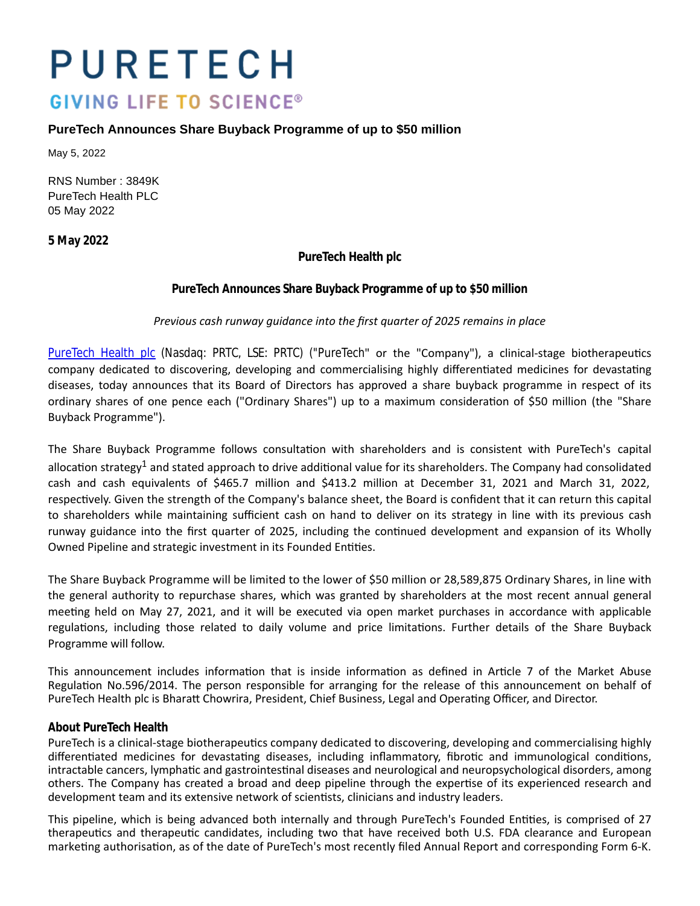# PURETECH **GIVING LIFE TO SCIENCE®**

# **PureTech Announces Share Buyback Programme of up to \$50 million**

May 5, 2022

RNS Number : 3849K PureTech Health PLC 05 May 2022

**5 May 2022**

**PureTech Health plc**

## **PureTech Announces Share Buyback Programme of up to \$50 million**

#### *Previous cash runway guidance into the first quarter of 2025 remains in place*

[PureTech Health plc](https://puretechhealth.com/) (Nasdaq: PRTC, LSE: PRTC) ("PureTech" or the "Company"), a clinical-stage biotherapeutics company dedicated to discovering, developing and commercialising highly differentiated medicines for devastating diseases, today announces that its Board of Directors has approved a share buyback programme in respect of its ordinary shares of one pence each ("Ordinary Shares") up to a maximum consideration of \$50 million (the "Share Buyback Programme").

The Share Buyback Programme follows consultation with shareholders and is consistent with PureTech's capital allocation strategy<sup>1</sup> and stated approach to drive additional value for its shareholders. The Company had consolidated cash and cash equivalents of \$465.7 million and \$413.2 million at December 31, 2021 and March 31, 2022, respectively. Given the strength of the Company's balance sheet, the Board is confident that it can return this capital to shareholders while maintaining sufficient cash on hand to deliver on its strategy in line with its previous cash runway guidance into the first quarter of 2025, including the continued development and expansion of its Wholly Owned Pipeline and strategic investment in its Founded Entities.

The Share Buyback Programme will be limited to the lower of \$50 million or 28,589,875 Ordinary Shares, in line with the general authority to repurchase shares, which was granted by shareholders at the most recent annual general meeting held on May 27, 2021, and it will be executed via open market purchases in accordance with applicable regulations, including those related to daily volume and price limitations. Further details of the Share Buyback Programme will follow.

This announcement includes information that is inside information as defined in Article 7 of the Market Abuse Regulation No.596/2014. The person responsible for arranging for the release of this announcement on behalf of PureTech Health plc is Bharatt Chowrira, President, Chief Business, Legal and Operating Officer, and Director.

#### **About PureTech Health**

PureTech is a clinical-stage biotherapeutics company dedicated to discovering, developing and commercialising highly differentiated medicines for devastating diseases, including inflammatory, fibrotic and immunological conditions, intractable cancers, lymphatic and gastrointestinal diseases and neurological and neuropsychological disorders, among others. The Company has created a broad and deep pipeline through the expertise of its experienced research and development team and its extensive network of scientists, clinicians and industry leaders.

This pipeline, which is being advanced both internally and through PureTech's Founded Entities, is comprised of 27 therapeutics and therapeutic candidates, including two that have received both U.S. FDA clearance and European marketing authorisation, as of the date of PureTech's most recently filed Annual Report and corresponding Form 6-K.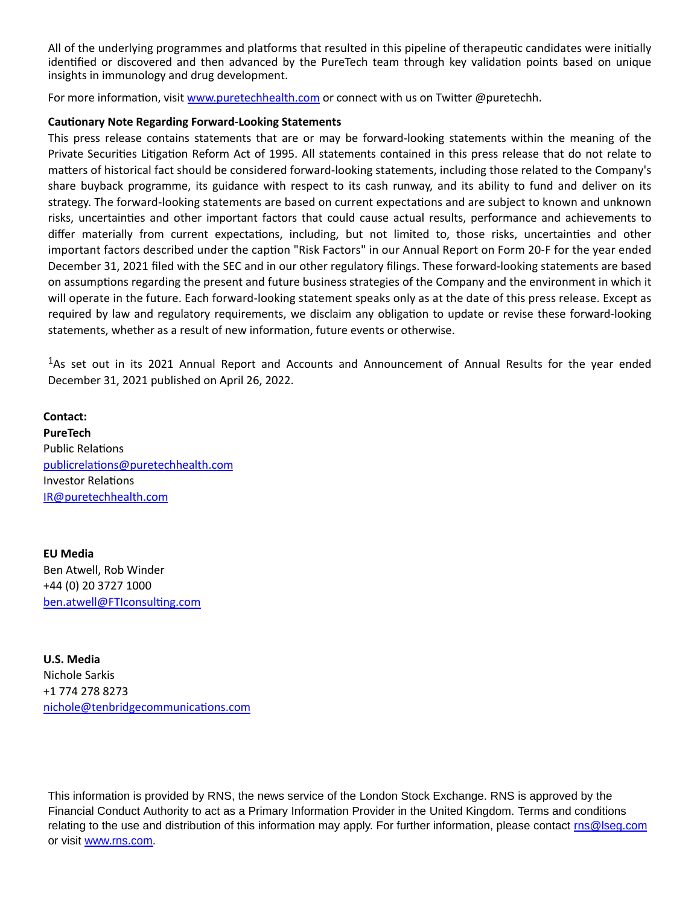All of the underlying programmes and platforms that resulted in this pipeline of therapeutic candidates were initially identified or discovered and then advanced by the PureTech team through key validation points based on unique insights in immunology and drug development.

For more information, visit [www.puretechhealth.com o](http://www.puretechhealth.com/)r connect with us on Twitter @puretechh.

### **CauƟonary Note Regarding Forward-Looking Statements**

This press release contains statements that are or may be forward-looking statements within the meaning of the Private Securities Litigation Reform Act of 1995. All statements contained in this press release that do not relate to matters of historical fact should be considered forward-looking statements, including those related to the Company's share buyback programme, its guidance with respect to its cash runway, and its ability to fund and deliver on its strategy. The forward-looking statements are based on current expectations and are subject to known and unknown risks, uncertainƟes and other important factors that could cause actual results, performance and achievements to differ materially from current expectations, including, but not limited to, those risks, uncertainties and other important factors described under the caption "Risk Factors" in our Annual Report on Form 20-F for the year ended December 31, 2021 filed with the SEC and in our other regulatory filings. These forward-looking statements are based on assumptions regarding the present and future business strategies of the Company and the environment in which it will operate in the future. Each forward-looking statement speaks only as at the date of this press release. Except as required by law and regulatory requirements, we disclaim any obligation to update or revise these forward-looking statements, whether as a result of new information, future events or otherwise.

<sup>1</sup>As set out in its 2021 Annual Report and Accounts and Announcement of Annual Results for the year ended December 31, 2021 published on April 26, 2022.

**Contact: PureTech** Public Relations [publicrelaƟons@puretechhealth.com](mailto:publicrelations@puretechhealth.com) Investor RelaƟons [IR@puretechhealth.com](mailto:IR@puretechhealth.com)

**EU Media** Ben Atwell, Rob Winder +44 (0) 20 3727 1000 ben.atwell@FTIconsulting.com

**U.S. Media** Nichole Sarkis +1 774 278 8273 nichole@tenbridgecommunications.com

This information is provided by RNS, the news service of the London Stock Exchange. RNS is approved by the Financial Conduct Authority to act as a Primary Information Provider in the United Kingdom. Terms and conditions relating to the use and distribution of this information may apply. For further information, please contact rns@lseq.com or visit [www.rns.com.](http://www.rns.com/)